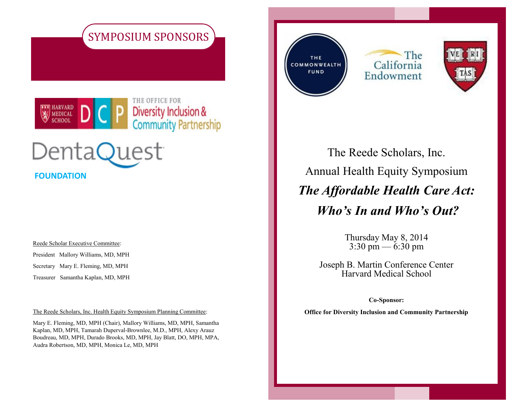





Reede Scholar Executive Committee:

President Mallory Williams, MD, MPH

Secretary Mary E. Fleming, MD, MPH

Treasurer Samantha Kaplan, MD, MPH

The Reede Scholars, Inc. Health Equity Symposium Planning Committee:

Mary E. Fleming, MD, MPH (Chair), Mallory Williams, MD, MPH, Samantha Kaplan, MD, MPH, Tamarah Duperval-Brownlee, M.D., MPH, Alexy Arauz Boudreau, MD, MPH, Durado Brooks, MD, MPH, Jay Blatt, DO, MPH, MPA, Audra Robertson, MD, MPH, Monica Le, MD, MPH

THE COMMONWEALTH **FUND** 

The California Endowment



The Reede Scholars, Inc. Annual Health Equity Symposium *The Affordable Health Care Act: Who's In and Who's Out?*

> Thursday May 8, 2014  $3:30 \text{ pm} - 6:30 \text{ pm}$

Joseph B. Martin Conference Center Harvard Medical School

**Co-Sponsor:**

**Office for Diversity Inclusion and Community Partnership**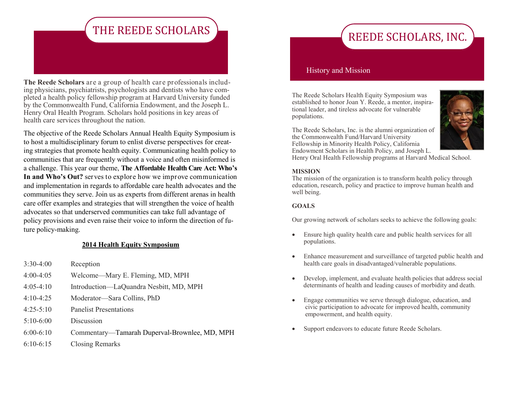## THE REEDE SCHOLARS

**The Reede Scholars** are a group of health care professionals including physicians, psychiatrists, psychologists and dentists who have completed a health policy fellowship program at Harvard University funded by the Commonwealth Fund, California Endowment, and the Joseph L. Henry Oral Health Program. Scholars hold positions in key areas of health care services throughout the nation.

The objective of the Reede Scholars Annual Health Equity Symposium is to host a multidisciplinary forum to enlist diverse perspectives for creating strategies that promote health equity. Communicating health policy to communities that are frequently without a voice and often misinformed is a challenge. This year our theme, **The Affordable Health Care Act: Who's**  In and Who's Out? serves to explore how we improve communication and implementation in regards to affordable care health advocates and the communities they serve. Join us as experts from different arenas in health care offer examples and strategies that will strengthen the voice of health advocates so that underserved communities can take full advantage of policy provisions and even raise their voice to inform the direction of future policy-making.

#### **2014 Health Equity Symposium**

- 3:30-4:00 Reception
- 4:00-4:05 Welcome—Mary E. Fleming, MD, MPH
- 4:05-4:10 Introduction—LaQuandra Nesbitt, MD, MPH
- 4:10-4:25 Moderator—Sara Collins, PhD
- 4:25-5:10 Panelist Presentations
- 5:10-6:00 Discussion
- 6:00-6:10 Commentary—Tamarah Duperval-Brownlee, MD, MPH
- 6:10-6:15 Closing Remarks

# REEDE SCHOLARS, INC.

#### History and Mission

The Reede Scholars Health Equity Symposium was established to honor Joan Y. Reede, a mentor, inspirational leader, and tireless advocate for vulnerable populations.



The Reede Scholars, Inc. is the alumni organization of the Commonwealth Fund/Harvard University Fellowship in Minority Health Policy, California Endowment Scholars in Health Policy, and Joseph L.

Henry Oral Health Fellowship programs at Harvard Medical School.

#### **MISSION**

The mission of the organization is to transform health policy through education, research, policy and practice to improve human health and well being.

#### **GOALS**

Our growing network of scholars seeks to achieve the following goals:

- Ensure high quality health care and public health services for all populations.
- Enhance measurement and surveillance of targeted public health and health care goals in disadvantaged/vulnerable populations.
- Develop, implement, and evaluate health policies that address social determinants of health and leading causes of morbidity and death.
- Engage communities we serve through dialogue, education, and civic participation to advocate for improved health, community empowerment, and health equity.
- Support endeavors to educate future Reede Scholars.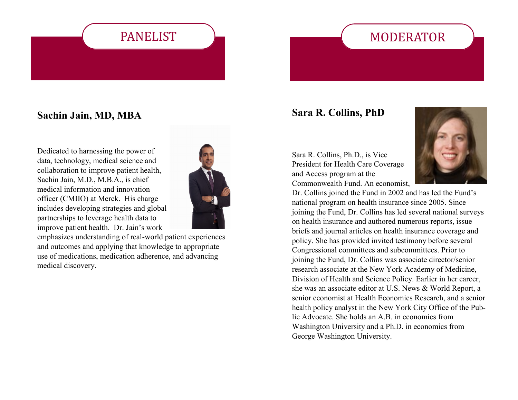# PANELIST

# MODERATOR

### **Sachin Jain, MD, MBA**

Dedicated to harnessing the power of data, technology, medical science and collaboration to improve patient health, Sachin Jain, M.D., M.B.A., is chief medical information and innovation officer (CMIIO) at Merck. His charge includes developing strategies and global partnerships to leverage health data to improve patient health. Dr. Jain's work



emphasizes understanding of real-world patient experiences and outcomes and applying that knowledge to appropriate use of medications, medication adherence, and advancing medical discovery.

### **Sara R. Collins, PhD**

Sara R. Collins, Ph.D., is Vice President for Health Care Coverage and Access program at the Commonwealth Fund. An economist,



Dr. Collins joined the Fund in 2002 and has led the Fund's national program on health insurance since 2005. Since joining the Fund, Dr. Collins has led several national surveys on health insurance and authored numerous reports, issue briefs and journal articles on health insurance coverage and policy. She has provided invited testimony before several Congressional committees and subcommittees. Prior to joining the Fund, Dr. Collins was associate director/senior research associate at the New York Academy of Medicine, Division of Health and Science Policy. Earlier in her career, she was an associate editor at U.S. News & World Report, a senior economist at Health Economics Research, and a senior health policy analyst in the New York City Office of the Public Advocate. She holds an A.B. in economics from Washington University and a Ph.D. in economics from George Washington University.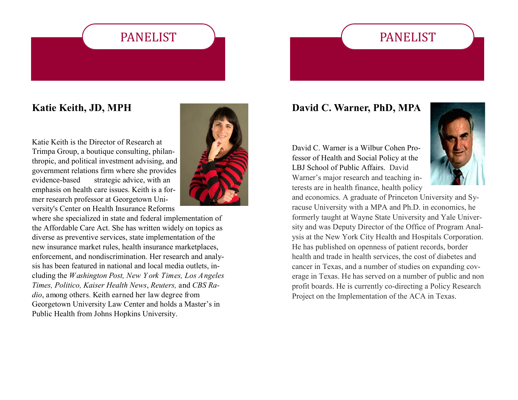## PANELIST

## **Katie Keith, JD, MPH**

Katie Keith is the Director of Research at Trimpa Group, a boutique consulting, philanthropic, and political investment advising, and government relations firm where she provides evidence-based strategic advice, with an emphasis on health care issues. Keith is a former research professor at Georgetown University's Center on Health Insurance Reforms

where she specialized in state and federal implementation of the Affordable Care Act. She has written widely on topics as diverse as preventive services, state implementation of the new insurance market rules, health insurance marketplaces, enforcement, and nondiscrimination. Her research and analysis has been featured in national and local media outlets, including the *Washington Post, New Y ork Times, Los Angeles Times, Politico, Kaiser Health News*, *Reuters,* and *CBS Radio*, among others. Keith earned her law degree from Georgetown University Law Center and holds a Master's in Public Health from Johns Hopkins University.

PANELIST



### **David C. Warner, PhD, MPA**

David C. Warner is a Wilbur Cohen Professor of Health and Social Policy at the LBJ School of Public Affairs. David Warner's major research and teaching interests are in health finance, health policy



and economics. A graduate of Princeton University and Syracuse University with a MPA and Ph.D. in economics, he formerly taught at Wayne State University and Yale University and was Deputy Director of the Office of Program Analysis at the New York City Health and Hospitals Corporation. He has published on openness of patient records, border health and trade in health services, the cost of diabetes and cancer in Texas, and a number of studies on expanding coverage in Texas. He has served on a number of public and non profit boards. He is currently co-directing a Policy Research Project on the Implementation of the ACA in Texas.